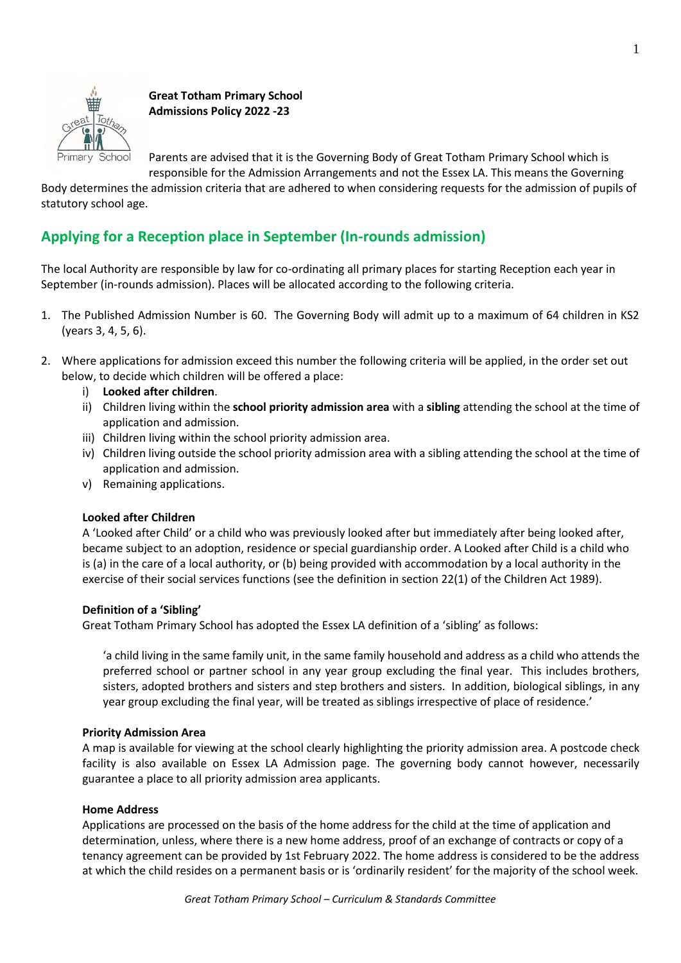

**Great Totham Primary School Admissions Policy 2022 -23**

Parents are advised that it is the Governing Body of Great Totham Primary School which is responsible for the Admission Arrangements and not the Essex LA. This means the Governing

Body determines the admission criteria that are adhered to when considering requests for the admission of pupils of statutory school age.

# **Applying for a Reception place in September (In-rounds admission)**

The local Authority are responsible by law for co-ordinating all primary places for starting Reception each year in September (in-rounds admission). Places will be allocated according to the following criteria.

- 1. The Published Admission Number is 60. The Governing Body will admit up to a maximum of 64 children in KS2 (years 3, 4, 5, 6).
- 2. Where applications for admission exceed this number the following criteria will be applied, in the order set out below, to decide which children will be offered a place:
	- i) **Looked after children**.
	- ii) Children living within the **school priority admission area** with a **sibling** attending the school at the time of application and admission.
	- iii) Children living within the school priority admission area.
	- iv) Children living outside the school priority admission area with a sibling attending the school at the time of application and admission.
	- v) Remaining applications.

# **Looked after Children**

A 'Looked after Child' or a child who was previously looked after but immediately after being looked after, became subject to an adoption, residence or special guardianship order. A Looked after Child is a child who is (a) in the care of a local authority, or (b) being provided with accommodation by a local authority in the exercise of their social services functions (see the definition in section 22(1) of the Children Act 1989).

# **Definition of a 'Sibling'**

Great Totham Primary School has adopted the Essex LA definition of a 'sibling' as follows:

'a child living in the same family unit, in the same family household and address as a child who attends the preferred school or partner school in any year group excluding the final year. This includes brothers, sisters, adopted brothers and sisters and step brothers and sisters. In addition, biological siblings, in any year group excluding the final year, will be treated as siblings irrespective of place of residence.'

# **Priority Admission Area**

A map is available for viewing at the school clearly highlighting the priority admission area. A postcode check facility is also available on Essex LA Admission page. The governing body cannot however, necessarily guarantee a place to all priority admission area applicants.

# **Home Address**

Applications are processed on the basis of the home address for the child at the time of application and determination, unless, where there is a new home address, proof of an exchange of contracts or copy of a tenancy agreement can be provided by 1st February 2022. The home address is considered to be the address at which the child resides on a permanent basis or is 'ordinarily resident' for the majority of the school week.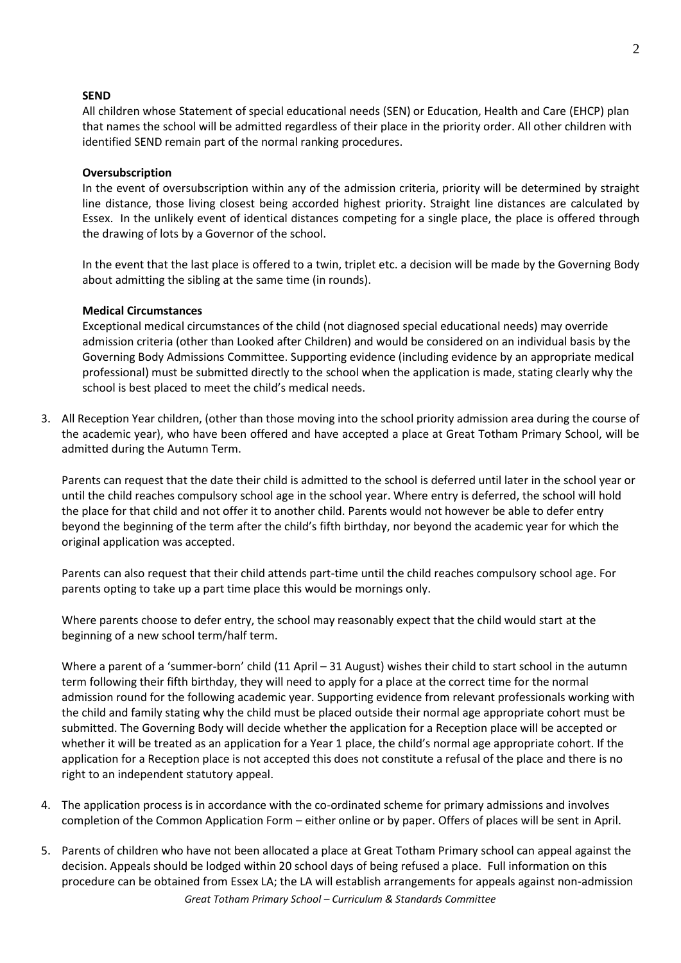# **SEND**

All children whose Statement of special educational needs (SEN) or Education, Health and Care (EHCP) plan that names the school will be admitted regardless of their place in the priority order. All other children with identified SEND remain part of the normal ranking procedures.

# **Oversubscription**

In the event of oversubscription within any of the admission criteria, priority will be determined by straight line distance, those living closest being accorded highest priority. Straight line distances are calculated by Essex. In the unlikely event of identical distances competing for a single place, the place is offered through the drawing of lots by a Governor of the school.

In the event that the last place is offered to a twin, triplet etc. a decision will be made by the Governing Body about admitting the sibling at the same time (in rounds).

# **Medical Circumstances**

Exceptional medical circumstances of the child (not diagnosed special educational needs) may override admission criteria (other than Looked after Children) and would be considered on an individual basis by the Governing Body Admissions Committee. Supporting evidence (including evidence by an appropriate medical professional) must be submitted directly to the school when the application is made, stating clearly why the school is best placed to meet the child's medical needs.

3. All Reception Year children, (other than those moving into the school priority admission area during the course of the academic year), who have been offered and have accepted a place at Great Totham Primary School, will be admitted during the Autumn Term.

Parents can request that the date their child is admitted to the school is deferred until later in the school year or until the child reaches compulsory school age in the school year. Where entry is deferred, the school will hold the place for that child and not offer it to another child. Parents would not however be able to defer entry beyond the beginning of the term after the child's fifth birthday, nor beyond the academic year for which the original application was accepted.

Parents can also request that their child attends part-time until the child reaches compulsory school age. For parents opting to take up a part time place this would be mornings only.

Where parents choose to defer entry, the school may reasonably expect that the child would start at the beginning of a new school term/half term.

Where a parent of a 'summer-born' child (11 April – 31 August) wishes their child to start school in the autumn term following their fifth birthday, they will need to apply for a place at the correct time for the normal admission round for the following academic year. Supporting evidence from relevant professionals working with the child and family stating why the child must be placed outside their normal age appropriate cohort must be submitted. The Governing Body will decide whether the application for a Reception place will be accepted or whether it will be treated as an application for a Year 1 place, the child's normal age appropriate cohort. If the application for a Reception place is not accepted this does not constitute a refusal of the place and there is no right to an independent statutory appeal.

- 4. The application process is in accordance with the co-ordinated scheme for primary admissions and involves completion of the Common Application Form – either online or by paper. Offers of places will be sent in April.
- *Great Totham Primary School – Curriculum & Standards Committee* 5. Parents of children who have not been allocated a place at Great Totham Primary school can appeal against the decision. Appeals should be lodged within 20 school days of being refused a place. Full information on this procedure can be obtained from Essex LA; the LA will establish arrangements for appeals against non-admission